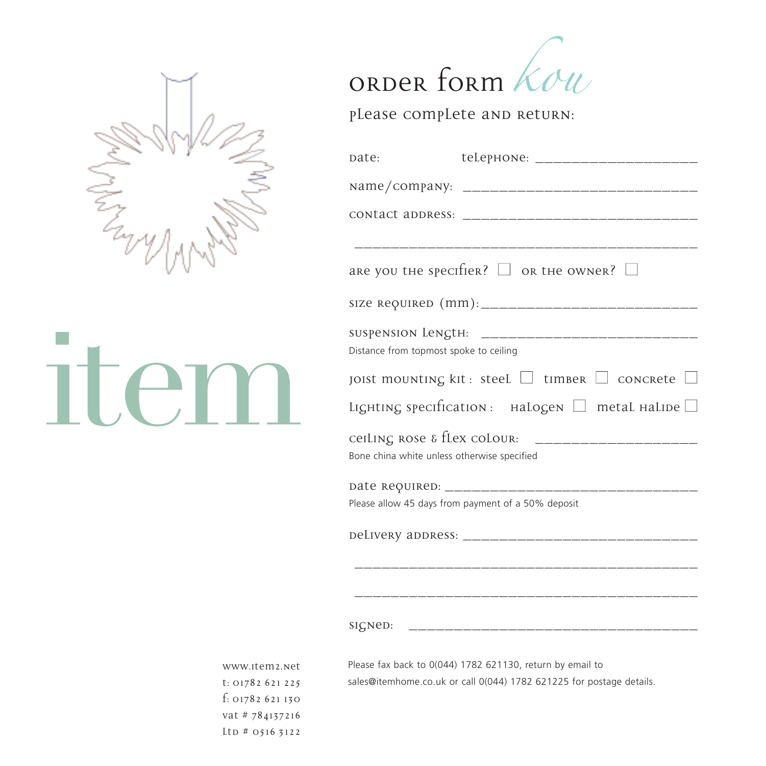

## order FORM kou

please complete and return:

| pate:                                                                                                                             | teLephone: _____________________                               |
|-----------------------------------------------------------------------------------------------------------------------------------|----------------------------------------------------------------|
|                                                                                                                                   |                                                                |
|                                                                                                                                   |                                                                |
|                                                                                                                                   |                                                                |
|                                                                                                                                   | are you the specifier? $\Box$ or the owner? $\Box$             |
|                                                                                                                                   |                                                                |
| Distance from topmost spoke to ceiling                                                                                            |                                                                |
|                                                                                                                                   | JOIST MOUNTING kit: steel $\Box$ timber $\Box$ concrete $\Box$ |
| Lighting specification: $Halogen$ $\Box$ metal $Haline$                                                                           |                                                                |
| ceiling Rose $\epsilon$ flex colour:<br>______________________<br>Bone china white unless otherwise specified                     |                                                                |
| Please allow 45 days from payment of a 50% deposit                                                                                |                                                                |
|                                                                                                                                   |                                                                |
|                                                                                                                                   |                                                                |
|                                                                                                                                   |                                                                |
| Please fax back to 0(044) 1782 621130, return by email to<br>sales@itemhome.co.uk or call 0(044) 1782 621225 for postage details. |                                                                |

www.item2.net T: 01782 621 225 f: 01782 621 130 vat # 784137216 ltd # 0516 3122